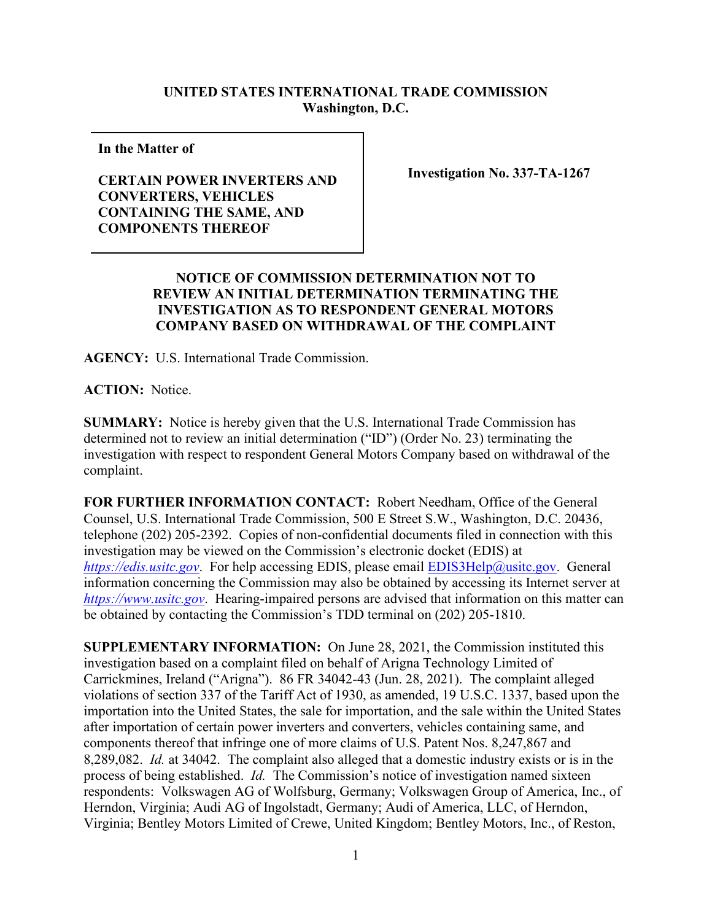## **UNITED STATES INTERNATIONAL TRADE COMMISSION Washington, D.C.**

**In the Matter of** 

## **CERTAIN POWER INVERTERS AND CONVERTERS, VEHICLES CONTAINING THE SAME, AND COMPONENTS THEREOF**

**Investigation No. 337-TA-1267**

## **NOTICE OF COMMISSION DETERMINATION NOT TO REVIEW AN INITIAL DETERMINATION TERMINATING THE INVESTIGATION AS TO RESPONDENT GENERAL MOTORS COMPANY BASED ON WITHDRAWAL OF THE COMPLAINT**

**AGENCY:** U.S. International Trade Commission.

**ACTION:** Notice.

**SUMMARY:** Notice is hereby given that the U.S. International Trade Commission has determined not to review an initial determination ("ID") (Order No. 23) terminating the investigation with respect to respondent General Motors Company based on withdrawal of the complaint.

**FOR FURTHER INFORMATION CONTACT:** Robert Needham, Office of the General Counsel, U.S. International Trade Commission, 500 E Street S.W., Washington, D.C. 20436, telephone (202) 205-2392. Copies of non-confidential documents filed in connection with this investigation may be viewed on the Commission's electronic docket (EDIS) at *[https://edis.usitc.gov](https://edis.usitc.gov/).* For help accessing EDIS, please email **EDIS3Help@usitc.gov**. General information concerning the Commission may also be obtained by accessing its Internet server at *[https://www.usitc.gov](https://www.usitc.gov/)*. Hearing-impaired persons are advised that information on this matter can be obtained by contacting the Commission's TDD terminal on (202) 205-1810.

**SUPPLEMENTARY INFORMATION:** On June 28, 2021, the Commission instituted this investigation based on a complaint filed on behalf of Arigna Technology Limited of Carrickmines, Ireland ("Arigna"). 86 FR 34042-43 (Jun. 28, 2021). The complaint alleged violations of section 337 of the Tariff Act of 1930, as amended, 19 U.S.C. 1337, based upon the importation into the United States, the sale for importation, and the sale within the United States after importation of certain power inverters and converters, vehicles containing same, and components thereof that infringe one of more claims of U.S. Patent Nos. 8,247,867 and 8,289,082. *Id.* at 34042. The complaint also alleged that a domestic industry exists or is in the process of being established. *Id.* The Commission's notice of investigation named sixteen respondents: Volkswagen AG of Wolfsburg, Germany; Volkswagen Group of America, Inc., of Herndon, Virginia; Audi AG of Ingolstadt, Germany; Audi of America, LLC, of Herndon, Virginia; Bentley Motors Limited of Crewe, United Kingdom; Bentley Motors, Inc., of Reston,